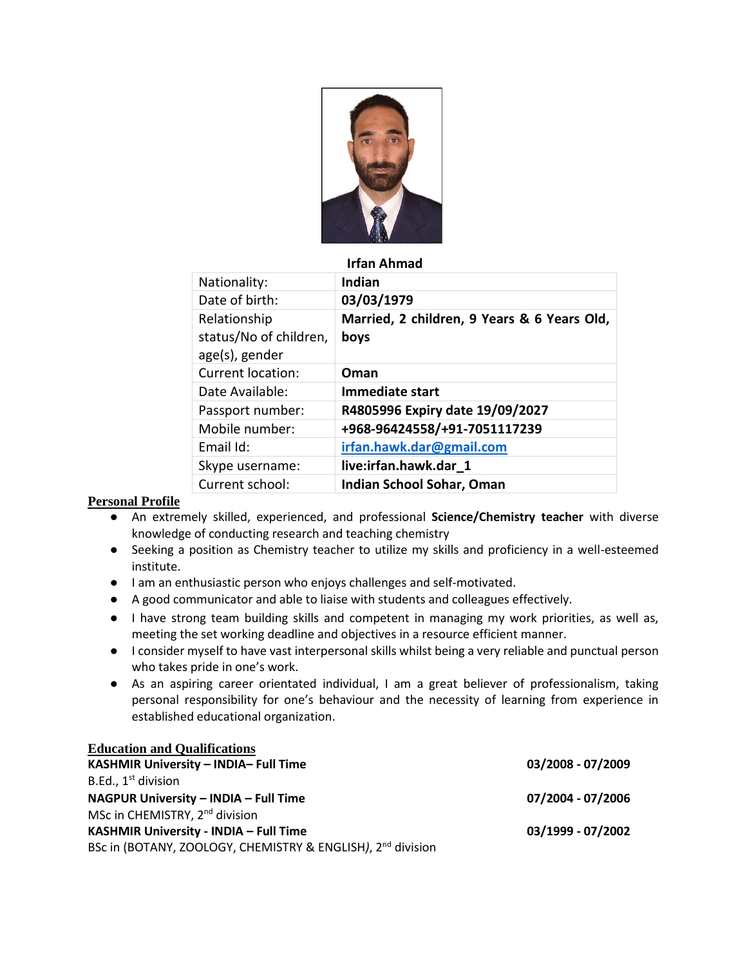

 **Irfan Ahmad**

| Nationality:                                             | Indian                                              |
|----------------------------------------------------------|-----------------------------------------------------|
| Date of birth:                                           | 03/03/1979                                          |
| Relationship<br>status/No of children,<br>age(s), gender | Married, 2 children, 9 Years & 6 Years Old,<br>boys |
| <b>Current location:</b>                                 | Oman                                                |
| Date Available:                                          | Immediate start                                     |
| Passport number:                                         | R4805996 Expiry date 19/09/2027                     |
| Mobile number:                                           | +968-96424558/+91-7051117239                        |
| Email Id:                                                | irfan.hawk.dar@gmail.com                            |
| Skype username:                                          | live:irfan.hawk.dar 1                               |
| Current school:                                          | Indian School Sohar, Oman                           |

**Personal Profile**

- An extremely skilled, experienced, and professional **Science/Chemistry teacher** with diverse knowledge of conducting research and teaching chemistry
- Seeking a position as Chemistry teacher to utilize my skills and proficiency in a well-esteemed institute.
- I am an enthusiastic person who enjoys challenges and self-motivated.
- A good communicator and able to liaise with students and colleagues effectively.
- I have strong team building skills and competent in managing my work priorities, as well as, meeting the set working deadline and objectives in a resource efficient manner.
- I consider myself to have vast interpersonal skills whilst being a very reliable and punctual person who takes pride in one's work.
- As an aspiring career orientated individual, I am a great believer of professionalism, taking personal responsibility for one's behaviour and the necessity of learning from experience in established educational organization.

| <b>Education and Qualifications</b>                                     |                   |
|-------------------------------------------------------------------------|-------------------|
| KASHMIR University - INDIA-Full Time                                    | 03/2008 - 07/2009 |
| B.Ed., $1st$ division                                                   |                   |
| <b>NAGPUR University - INDIA - Full Time</b>                            | 07/2004 - 07/2006 |
| MSc in CHEMISTRY, 2 <sup>nd</sup> division                              |                   |
| KASHMIR University - INDIA - Full Time                                  | 03/1999 - 07/2002 |
| BSc in (BOTANY, ZOOLOGY, CHEMISTRY & ENGLISH), 2 <sup>nd</sup> division |                   |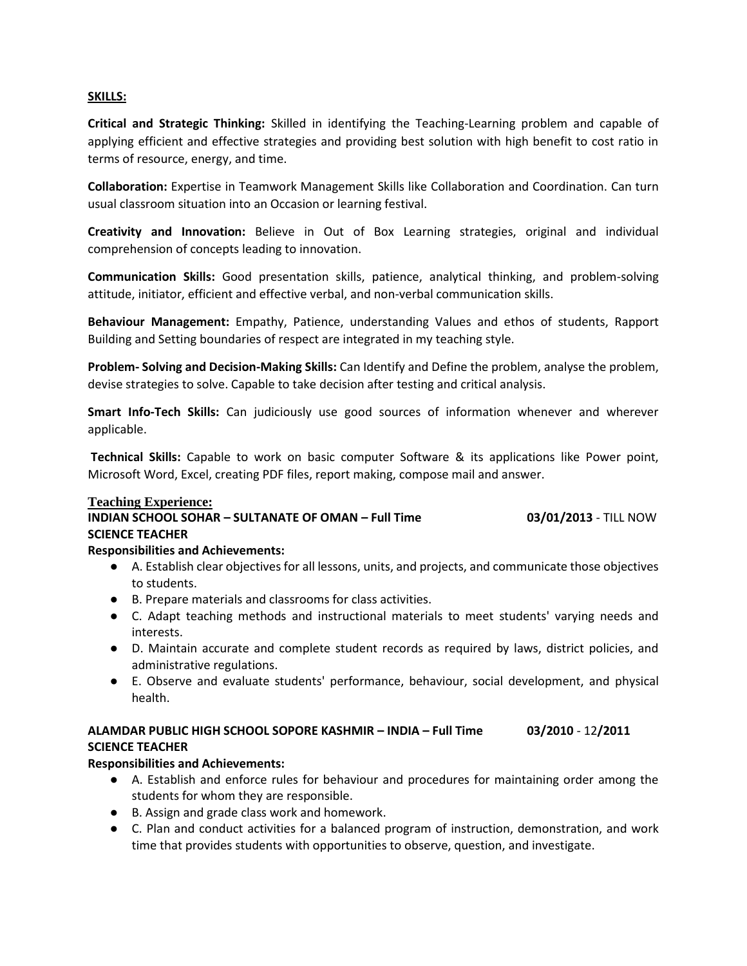#### **SKILLS:**

**Critical and Strategic Thinking:** Skilled in identifying the Teaching-Learning problem and capable of applying efficient and effective strategies and providing best solution with high benefit to cost ratio in terms of resource, energy, and time.

**Collaboration:** Expertise in Teamwork Management Skills like Collaboration and Coordination. Can turn usual classroom situation into an Occasion or learning festival.

**Creativity and Innovation:** Believe in Out of Box Learning strategies, original and individual comprehension of concepts leading to innovation.

**Communication Skills:** Good presentation skills, patience, analytical thinking, and problem-solving attitude, initiator, efficient and effective verbal, and non-verbal communication skills.

**Behaviour Management:** Empathy, Patience, understanding Values and ethos of students, Rapport Building and Setting boundaries of respect are integrated in my teaching style.

**Problem- Solving and Decision-Making Skills:** Can Identify and Define the problem, analyse the problem, devise strategies to solve. Capable to take decision after testing and critical analysis.

**Smart Info-Tech Skills:** Can judiciously use good sources of information whenever and wherever applicable.

**Technical Skills:** Capable to work on basic computer Software & its applications like Power point, Microsoft Word, Excel, creating PDF files, report making, compose mail and answer.

#### **Teaching Experience:**

# **INDIAN SCHOOL SOHAR – SULTANATE OF OMAN – Full Time 03/01/2013** - TILL NOW **SCIENCE TEACHER**

#### **Responsibilities and Achievements:**

- A. Establish clear objectives for all lessons, units, and projects, and communicate those objectives to students.
- B. Prepare materials and classrooms for class activities.
- C. Adapt teaching methods and instructional materials to meet students' varying needs and interests.
- D. Maintain accurate and complete student records as required by laws, district policies, and administrative regulations.
- E. Observe and evaluate students' performance, behaviour, social development, and physical health.

## **ALAMDAR PUBLIC HIGH SCHOOL SOPORE KASHMIR – INDIA – Full Time 03/2010** - 12**/2011 SCIENCE TEACHER**

#### **Responsibilities and Achievements:**

- A. Establish and enforce rules for behaviour and procedures for maintaining order among the students for whom they are responsible.
- B. Assign and grade class work and homework.
- C. Plan and conduct activities for a balanced program of instruction, demonstration, and work time that provides students with opportunities to observe, question, and investigate.